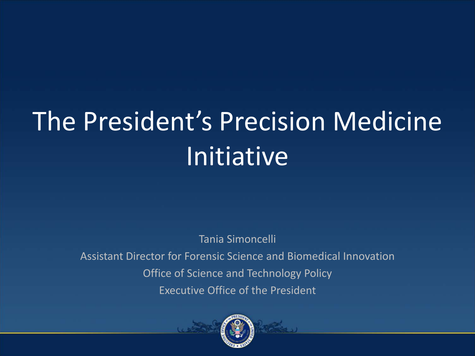# The President's Precision Medicine Initiative

Tania Simoncelli Assistant Director for Forensic Science and Biomedical Innovation Office of Science and Technology Policy Executive Office of the President

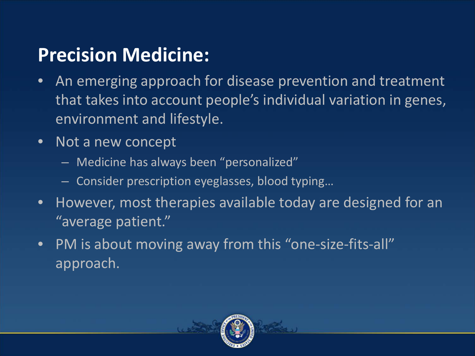### **Precision Medicine:**

- An emerging approach for disease prevention and treatment that takes into account people's individual variation in genes, environment and lifestyle.
- Not a new concept
	- Medicine has always been "personalized"
	- Consider prescription eyeglasses, blood typing…
- However, most therapies available today are designed for an "average patient."
- PM is about moving away from this "one-size-fits-all" approach.

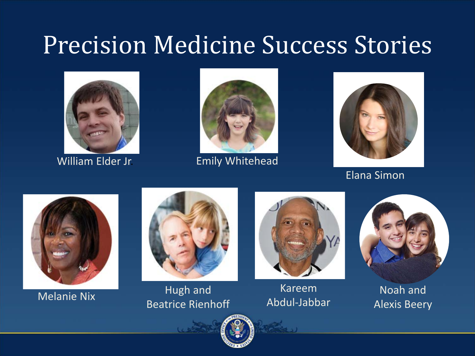### Precision Medicine Success Stories





William Elder Jr. **Emily Whitehead** 



Elana Simon





Melanie Nix Hugh and Beatrice Rienhoff



Kareem Abdul-Jabbar



Noah and Alexis Beery

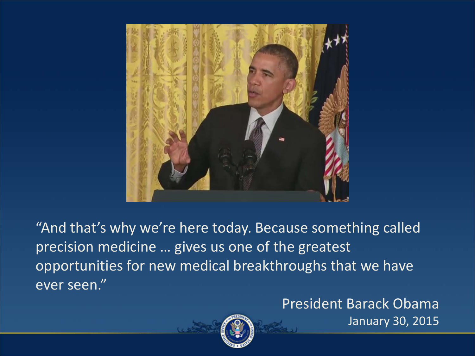

"And that's why we're here today. Because something called precision medicine … gives us one of the greatest opportunities for new medical breakthroughs that we have ever seen."

### President Barack Obama



January 30, 2015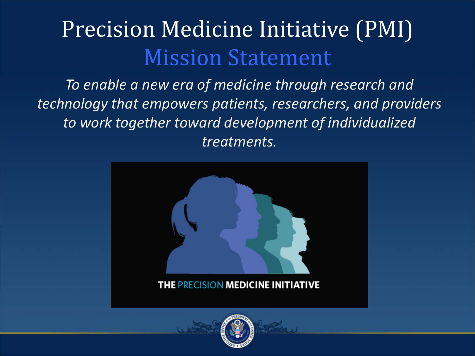### Precision Medicine Initiative (PMI) Mission Statement

*To enable a new era of medicine through research and technology that empowers patients, researchers, and providers to work together toward development of individualized treatments.*



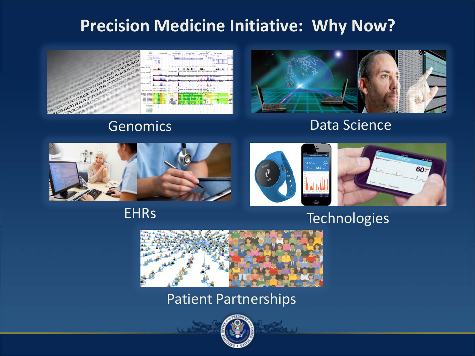### **Precision Medicine Initiative: Why Now?**









#### **EHRs**



#### Technologies



#### Patient Partnerships

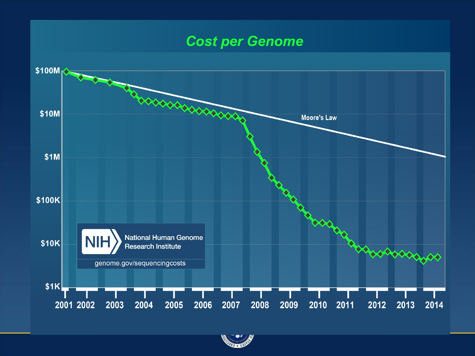#### **Cost per Genome**  $$100M$ toooooooooooo \$10M **Moore's Law**  $$1M$ \$100K **National Human Genome** appropriate \$10K **Research Institute** genome.gov/sequencingcosts  $$1K$ 2007  $2011$ 2001 2002 2003 2004 2005 2006 2008 2009 2010 2012 2013 2014

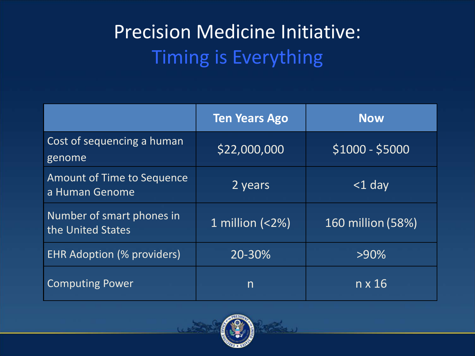### Precision Medicine Initiative: Timing is Everything

|                                                | <b>Ten Years Ago</b> | <b>Now</b>        |
|------------------------------------------------|----------------------|-------------------|
| Cost of sequencing a human<br>genome           | \$22,000,000         | $$1000 - $5000$   |
| Amount of Time to Sequence<br>a Human Genome   | 2 years              | $<$ 1 day         |
| Number of smart phones in<br>the United States | 1 million $(<2\%)$   | 160 million (58%) |
| <b>EHR Adoption (% providers)</b>              | 20-30%               | $>90\%$           |
| <b>Computing Power</b>                         | $\mathsf{n}$         | in x $16^{\circ}$ |

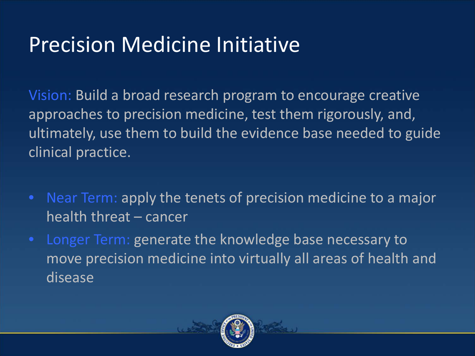### Precision Medicine Initiative

Vision: Build a broad research program to encourage creative approaches to precision medicine, test them rigorously, and, ultimately, use them to build the evidence base needed to guide clinical practice.

- Near Term: apply the tenets of precision medicine to a major health threat – cancer
- Longer Term: generate the knowledge base necessary to move precision medicine into virtually all areas of health and disease

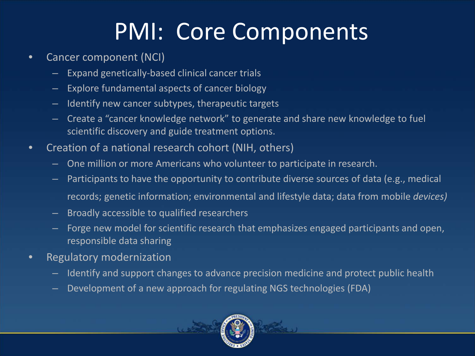### PMI: Core Components

- Cancer component (NCI)
	- Expand genetically-based clinical cancer trials
	- Explore fundamental aspects of cancer biology
	- Identify new cancer subtypes, therapeutic targets
	- Create a "cancer knowledge network" to generate and share new knowledge to fuel scientific discovery and guide treatment options.
- Creation of a national research cohort (NIH, others)
	- One million or more Americans who volunteer to participate in research.
	- Participants to have the opportunity to contribute diverse sources of data (e.g., medical records; genetic information; environmental and lifestyle data; data from mobile *devices)*
	- Broadly accessible to qualified researchers
		- Forge new model for scientific research that emphasizes engaged participants and open, responsible data sharing
- Regulatory modernization
	- Identify and support changes to advance precision medicine and protect public health
	- Development of a new approach for regulating NGS technologies (FDA)

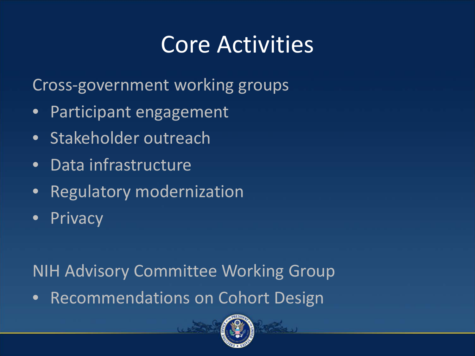### Core Activities

Cross-government working groups

- Participant engagement
- Stakeholder outreach
- Data infrastructure
- Regulatory modernization
- Privacy

NIH Advisory Committee Working Group

• Recommendations on Cohort Design

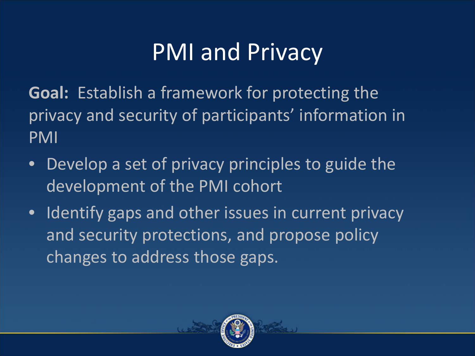## PMI and Privacy

**Goal:** Establish a framework for protecting the privacy and security of participants' information in PMI

- Develop a set of privacy principles to guide the development of the PMI cohort
- Identify gaps and other issues in current privacy and security protections, and propose policy changes to address those gaps.